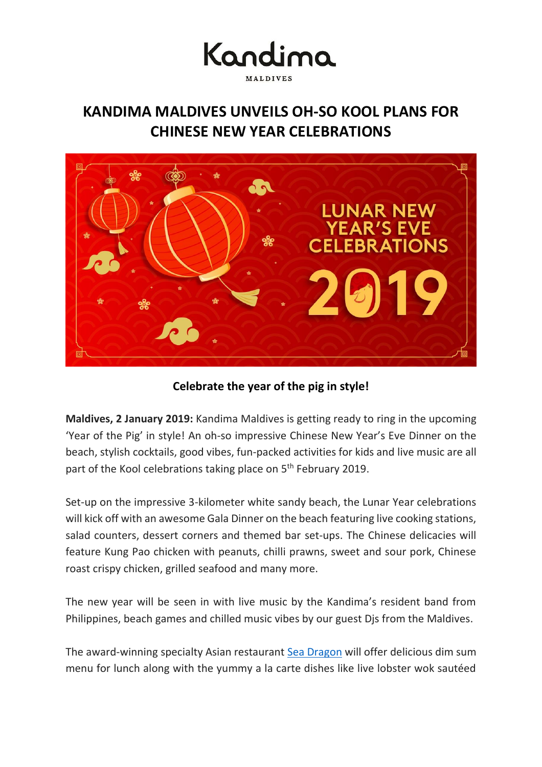## Kandima MALDIVES

### **KANDIMA MALDIVES UNVEILS OH-SO KOOL PLANS FOR CHINESE NEW YEAR CELEBRATIONS**



**Celebrate the year of the pig in style!**

**Maldives, 2 January 2019:** Kandima Maldives is getting ready to ring in the upcoming 'Year of the Pig' in style! An oh-so impressive Chinese New Year's Eve Dinner on the beach, stylish cocktails, good vibes, fun-packed activities for kids and live music are all part of the Kool celebrations taking place on 5<sup>th</sup> February 2019.

Set-up on the impressive 3-kilometer white sandy beach, the Lunar Year celebrations will kick off with an awesome Gala Dinner on the beach featuring live cooking stations, salad counters, dessert corners and themed bar set-ups. The Chinese delicacies will feature Kung Pao chicken with peanuts, chilli prawns, sweet and sour pork, Chinese roast crispy chicken, grilled seafood and many more.

The new year will be seen in with live music by the Kandima's resident band from Philippines, beach games and chilled music vibes by our guest Djs from the Maldives.

The award-winning specialty Asian restaurant [Sea Dragon](http://kandima.com/index.php/en/dining/sea-dragon-and-forbidden-bar) will offer delicious dim sum menu for lunch along with the yummy a la carte dishes like live lobster wok sautéed